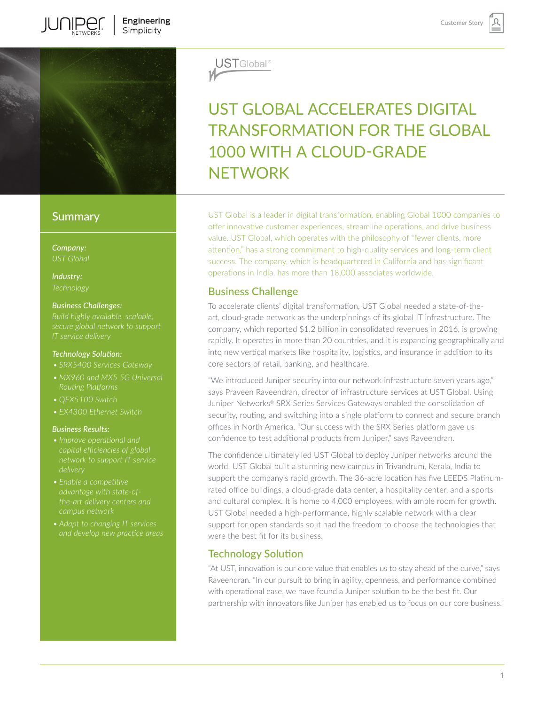

# **Summary**

*Company:*

*Industry:*

#### *Business Challenges:*

*Build highly available, scalable, secure global network to support* 

#### *Technology Solution:*

- 
- 
- *• QFX5100 Switch*
- *• EX4300 Ethernet Switch*

#### *Business Results:*

- 
- *• Enable a competitive advantage with state-ofthe-art delivery centers and campus network*
- *• Adapt to changing IT services*



# UST GLOBAL ACCELERATES DIGITAL TRANSFORMATION FOR THE GLOBAL 1000 WITH A CLOUD-GRADE **NFTWORK**

UST Global is a leader in digital transformation, enabling Global 1000 companies to offer innovative customer experiences, streamline operations, and drive business value. UST Global, which operates with the philosophy of "fewer clients, more attention," has a strong commitment to high-quality services and long-term client success. The company, which is headquartered in California and has significant operations in India, has more than 18,000 associates worldwide.

# Business Challenge

To accelerate clients' digital transformation, UST Global needed a state-of-theart, cloud-grade network as the underpinnings of its global IT infrastructure. The company, which reported \$1.2 billion in consolidated revenues in 2016, is growing rapidly. It operates in more than 20 countries, and it is expanding geographically and into new vertical markets like hospitality, logistics, and insurance in addition to its core sectors of retail, banking, and healthcare.

"We introduced Juniper security into our network infrastructure seven years ago," says Praveen Raveendran, director of infrastructure services at UST Global. Using Juniper Networks® SRX Series Services Gateways enabled the consolidation of security, routing, and switching into a single platform to connect and secure branch offices in North America. "Our success with the SRX Series platform gave us confidence to test additional products from Juniper," says Raveendran.

The confidence ultimately led UST Global to deploy Juniper networks around the world. UST Global built a stunning new campus in Trivandrum, Kerala, India to support the company's rapid growth. The 36-acre location has five LEEDS Platinumrated office buildings, a cloud-grade data center, a hospitality center, and a sports and cultural complex. It is home to 4,000 employees, with ample room for growth. UST Global needed a high-performance, highly scalable network with a clear support for open standards so it had the freedom to choose the technologies that were the best fit for its business.

# Technology Solution

"At UST, innovation is our core value that enables us to stay ahead of the curve," says Raveendran. "In our pursuit to bring in agility, openness, and performance combined with operational ease, we have found a Juniper solution to be the best fit. Our partnership with innovators like Juniper has enabled us to focus on our core business."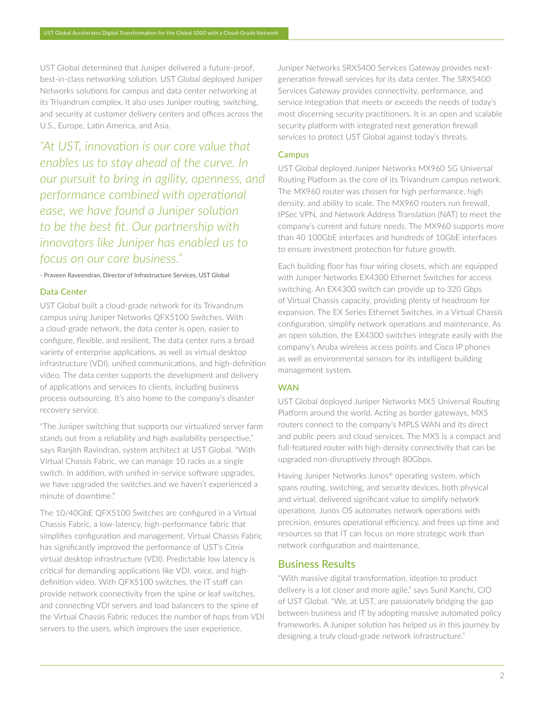UST Global determined that Juniper delivered a future-proof, best-in-class networking solution. UST Global deployed Juniper Networks solutions for campus and data center networking at its Trivandrum complex. It also uses Juniper routing, switching, and security at customer delivery centers and offices across the U.S., Europe, Latin America, and Asia.

*"At UST, innovation is our core value that enables us to stay ahead of the curve. In our pursuit to bring in agility, openness, and performance combined with operational ease, we have found a Juniper solution to be the best fit. Our partnership with innovators like Juniper has enabled us to focus on our core business."*

- Praveen Raveendran, Director of Infrastructure Services, UST Global

## Data Center

UST Global built a cloud-grade network for its Trivandrum campus using Juniper Networks QFX5100 Switches. With a cloud-grade network, the data center is open, easier to configure, flexible, and resilient. The data center runs a broad variety of enterprise applications, as well as virtual desktop infrastructure (VDI), unified communications, and high-definition video. The data center supports the development and delivery of applications and services to clients, including business process outsourcing. It's also home to the company's disaster recovery service.

"The Juniper switching that supports our virtualized server farm stands out from a reliability and high availability perspective," says Ranjith Ravindran, system architect at UST Global. "With Virtual Chassis Fabric, we can manage 10 racks as a single switch. In addition, with unified in-service software upgrades, we have upgraded the switches and we haven't experienced a minute of downtime."

The 10/40GbE QFX5100 Switches are configured in a Virtual Chassis Fabric, a low-latency, high-performance fabric that simplifies configuration and management. Virtual Chassis Fabric has significantly improved the performance of UST's Citrix virtual desktop infrastructure (VDI). Predictable low latency is critical for demanding applications like VDI, voice, and highdefinition video. With QFX5100 switches, the IT staff can provide network connectivity from the spine or leaf switches, and connecting VDI servers and load balancers to the spine of the Virtual Chassis Fabric reduces the number of hops from VDI servers to the users, which improves the user experience.

Juniper Networks SRX5400 Services Gateway provides nextgeneration firewall services for its data center. The SRX5400 Services Gateway provides connectivity, performance, and service integration that meets or exceeds the needs of today's most discerning security practitioners. It is an open and scalable security platform with integrated next generation firewall services to protect UST Global against today's threats.

## Campus

UST Global deployed Juniper Networks MX960 5G Universal Routing Platform as the core of its Trivandrum campus network. The MX960 router was chosen for high performance, high density, and ability to scale. The MX960 routers run firewall, IPSec VPN, and Network Address Translation (NAT) to meet the company's current and future needs. The MX960 supports more than 40 100GbE interfaces and hundreds of 10GbE interfaces to ensure investment protection for future growth.

Each building floor has four wiring closets, which are equipped with Juniper Networks EX4300 Ethernet Switches for access switching. An EX4300 switch can provide up to 320 Gbps of Virtual Chassis capacity, providing plenty of headroom for expansion. The EX Series Ethernet Switches, in a Virtual Chassis configuration, simplify network operations and maintenance. As an open solution, the EX4300 switches integrate easily with the company's Aruba wireless access points and Cisco IP phones as well as environmental sensors for its intelligent building management system.

## **WAN**

UST Global deployed Juniper Networks MX5 Universal Routing Platform around the world. Acting as border gateways, MX5 routers connect to the company's MPLS WAN and its direct and public peers and cloud services. The MX5 is a compact and full-featured router with high-density connectivity that can be upgraded non-disruptively through 80Gbps.

Having Juniper Networks Junos® operating system, which spans routing, switching, and security devices, both physical and virtual, delivered significant value to simplify network operations. Junos OS automates network operations with precision, ensures operational efficiency, and frees up time and resources so that IT can focus on more strategic work than network configuration and maintenance.

# Business Results

"With massive digital transformation, ideation to product delivery is a lot closer and more agile," says Sunil Kanchi, CIO of UST Global. "We, at UST, are passionately bridging the gap between business and IT by adopting massive automated policy frameworks. A Juniper solution has helped us in this journey by designing a truly cloud-grade network infrastructure."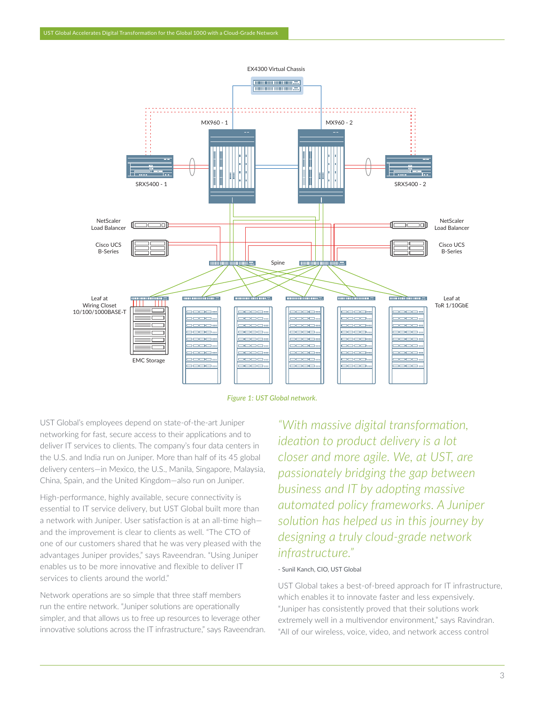

*Figure 1: UST Global network.*

UST Global's employees depend on state-of-the-art Juniper networking for fast, secure access to their applications and to deliver IT services to clients. The company's four data centers in the U.S. and India run on Juniper. More than half of its 45 global delivery centers—in Mexico, the U.S., Manila, Singapore, Malaysia, China, Spain, and the United Kingdom—also run on Juniper.

High-performance, highly available, secure connectivity is essential to IT service delivery, but UST Global built more than a network with Juniper. User satisfaction is at an all-time high and the improvement is clear to clients as well. "The CTO of one of our customers shared that he was very pleased with the advantages Juniper provides," says Raveendran. "Using Juniper enables us to be more innovative and flexible to deliver IT services to clients around the world."

Network operations are so simple that three staff members run the entire network. "Juniper solutions are operationally simpler, and that allows us to free up resources to leverage other innovative solutions across the IT infrastructure," says Raveendran.

*"With massive digital transformation, ideation to product delivery is a lot closer and more agile. We, at UST, are passionately bridging the gap between business and IT by adopting massive automated policy frameworks. A Juniper solution has helped us in this journey by designing a truly cloud-grade network infrastructure."*

#### - Sunil Kanch, CIO, UST Global

UST Global takes a best-of-breed approach for IT infrastructure, which enables it to innovate faster and less expensively. "Juniper has consistently proved that their solutions work extremely well in a multivendor environment," says Ravindran. "All of our wireless, voice, video, and network access control